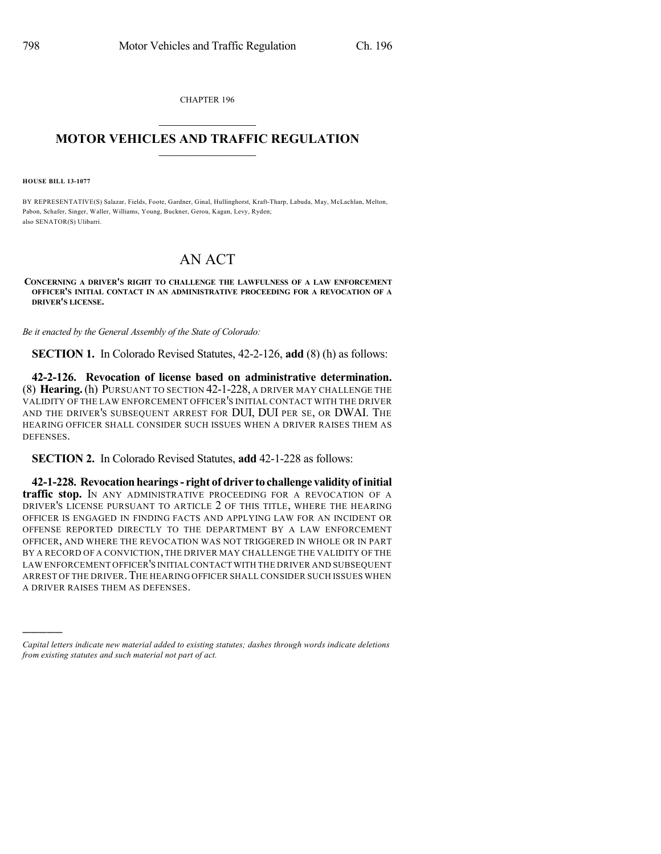CHAPTER 196

## $\mathcal{L}_\text{max}$  . The set of the set of the set of the set of the set of the set of the set of the set of the set of the set of the set of the set of the set of the set of the set of the set of the set of the set of the set **MOTOR VEHICLES AND TRAFFIC REGULATION**  $\frac{1}{2}$  ,  $\frac{1}{2}$  ,  $\frac{1}{2}$  ,  $\frac{1}{2}$  ,  $\frac{1}{2}$  ,  $\frac{1}{2}$  ,  $\frac{1}{2}$

**HOUSE BILL 13-1077**

)))))

BY REPRESENTATIVE(S) Salazar, Fields, Foote, Gardner, Ginal, Hullinghorst, Kraft-Tharp, Labuda, May, McLachlan, Melton, Pabon, Schafer, Singer, Waller, Williams, Young, Buckner, Gerou, Kagan, Levy, Ryden; also SENATOR(S) Ulibarri.

## AN ACT

**CONCERNING A DRIVER'S RIGHT TO CHALLENGE THE LAWFULNESS OF A LAW ENFORCEMENT OFFICER'S INITIAL CONTACT IN AN ADMINISTRATIVE PROCEEDING FOR A REVOCATION OF A DRIVER'S LICENSE.**

*Be it enacted by the General Assembly of the State of Colorado:*

**SECTION 1.** In Colorado Revised Statutes, 42-2-126, **add** (8) (h) as follows:

**42-2-126. Revocation of license based on administrative determination.** (8) **Hearing.**(h) PURSUANT TO SECTION 42-1-228, A DRIVER MAY CHALLENGE THE VALIDITY OF THE LAW ENFORCEMENT OFFICER'S INITIAL CONTACT WITH THE DRIVER AND THE DRIVER'S SUBSEQUENT ARREST FOR DUI, DUI PER SE, OR DWAI. THE HEARING OFFICER SHALL CONSIDER SUCH ISSUES WHEN A DRIVER RAISES THEM AS **DEFENSES** 

**SECTION 2.** In Colorado Revised Statutes, **add** 42-1-228 as follows:

**42-1-228. Revocation hearings- right of driver to challenge validity of initial traffic stop.** IN ANY ADMINISTRATIVE PROCEEDING FOR A REVOCATION OF A DRIVER'S LICENSE PURSUANT TO ARTICLE 2 OF THIS TITLE, WHERE THE HEARING OFFICER IS ENGAGED IN FINDING FACTS AND APPLYING LAW FOR AN INCIDENT OR OFFENSE REPORTED DIRECTLY TO THE DEPARTMENT BY A LAW ENFORCEMENT OFFICER, AND WHERE THE REVOCATION WAS NOT TRIGGERED IN WHOLE OR IN PART BY A RECORD OF A CONVICTION, THE DRIVER MAY CHALLENGE THE VALIDITY OF THE LAW ENFORCEMENT OFFICER'S INITIAL CONTACT WITH THE DRIVER AND SUBSEQUENT ARREST OF THE DRIVER.THE HEARING OFFICER SHALL CONSIDER SUCH ISSUES WHEN A DRIVER RAISES THEM AS DEFENSES.

*Capital letters indicate new material added to existing statutes; dashes through words indicate deletions from existing statutes and such material not part of act.*